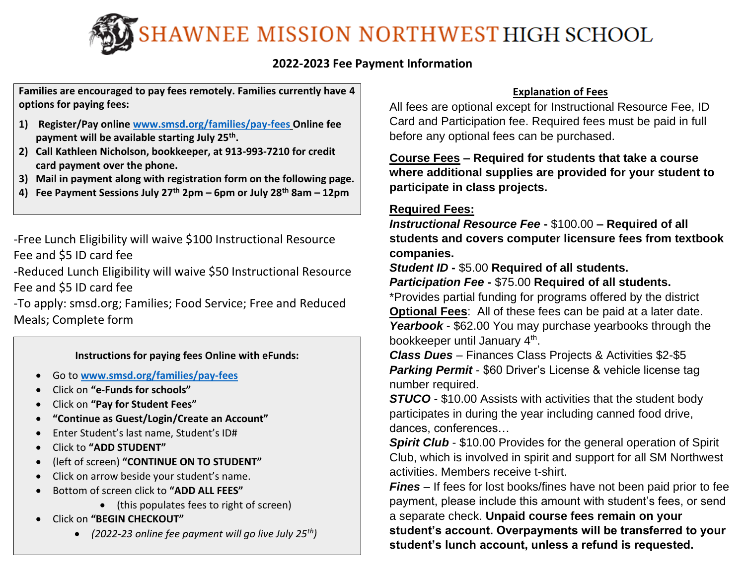SHAWNEE MISSION NORTHWEST HIGH SCHOOL

## **2022-2023 Fee Payment Information**

**Families are encouraged to pay fees remotely. Families currently have 4 options for paying fees:**

- **1) Register/Pay online [www.smsd.org/families/pay-fees](http://www.smsd.org/families/pay-fees) Online fee payment will be available starting July 25th .**
- **2) Call Kathleen Nicholson, bookkeeper, at 913-993-7210 for credit card payment over the phone.**
- **3) Mail in payment along with registration form on the following page.**
- **4) Fee Payment Sessions July 27th 2pm – 6pm or July 28th 8am – 12pm**

-Free Lunch Eligibility will waive \$100 Instructional Resource Fee and \$5 ID card fee

-Reduced Lunch Eligibility will waive \$50 Instructional Resource Fee and \$5 ID card fee

-To apply: smsd.org; Families; Food Service; Free and Reduced Meals; Complete form

### **Instructions for paying fees Online with eFunds:**

- Go to **[www.smsd.org/families/pay-fees](http://www.smsd.org/families/pay-fees)**
- Click on **"e-Funds for schools"**
- Click on **"Pay for Student Fees"**
- **"Continue as Guest/Login/Create an Account"**
- Enter Student's last name, Student's ID#
- Click to **"ADD STUDENT"**
- (left of screen) **"CONTINUE ON TO STUDENT"**
- Click on arrow beside your student's name.
- Bottom of screen click to **"ADD ALL FEES"**
	- (this populates fees to right of screen)
- Click on **"BEGIN CHECKOUT"**
	- *(2022-23 online fee payment will go live July 25th)*

## **Explanation of Fees**

All fees are optional except for Instructional Resource Fee, ID Card and Participation fee. Required fees must be paid in full before any optional fees can be purchased.

**Course Fees – Required for students that take a course where additional supplies are provided for your student to participate in class projects.**

## **Required Fees:**

*Instructional Resource Fee* **-** \$100.00 **– Required of all students and covers computer licensure fees from textbook companies.**

*Student ID* **-** \$5.00 **Required of all students.**

## *Participation Fee* **-** \$75.00 **Required of all students.**

\*Provides partial funding for programs offered by the district **Optional Fees**: All of these fees can be paid at a later date. *Yearbook* - \$62.00 You may purchase yearbooks through the bookkeeper until January 4<sup>th</sup>.

*Class Dues* – Finances Class Projects & Activities \$2-\$5 *Parking Permit* - \$60 Driver's License & vehicle license tag number required.

*STUCO* - \$10.00 Assists with activities that the student body participates in during the year including canned food drive, dances, conferences…

**Spirit Club** - \$10.00 Provides for the general operation of Spirit Club, which is involved in spirit and support for all SM Northwest activities. Members receive t-shirt.

*Fines* – If fees for lost books/fines have not been paid prior to fee payment, please include this amount with student's fees, or send a separate check. **Unpaid course fees remain on your student's account. Overpayments will be transferred to your student's lunch account, unless a refund is requested.**